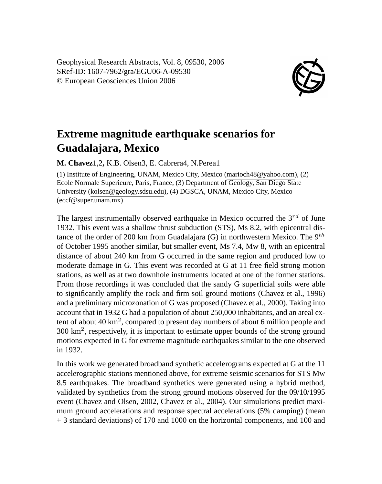Geophysical Research Abstracts, Vol. 8, 09530, 2006 SRef-ID: 1607-7962/gra/EGU06-A-09530 © European Geosciences Union 2006



## **Extreme magnitude earthquake scenarios for Guadalajara, Mexico**

**M. Chavez**1,2**,** K.B. Olsen3, E. Cabrera4, N.Perea1

(1) Institute of Engineering, UNAM, Mexico City, Mexico (marioch48@yahoo.com), (2) Ecole Normale Superieure, Paris, France, (3) Department of Geology, San Diego State University (kolsen@geology.sdsu.edu), (4) DGSCA, UNAM, Mexico City, Mexico (eccf@super.unam.mx)

The largest instrumentally observed earthquake in Mexico occurred the  $3^{rd}$  of June 1932. This event was a shallow thrust subduction (STS), Ms 8.2, with epicentral distance of the order of 200 km from Guadalajara (G) in northwestern Mexico. The  $9<sup>th</sup>$ of October 1995 another similar, but smaller event, Ms 7.4, Mw 8, with an epicentral distance of about 240 km from G occurred in the same region and produced low to moderate damage in G. This event was recorded at G at 11 free field strong motion stations, as well as at two downhole instruments located at one of the former stations. From those recordings it was concluded that the sandy G superficial soils were able to significantly amplify the rock and firm soil ground motions (Chavez et al., 1996) and a preliminary microzonation of G was proposed (Chavez et al., 2000). Taking into account that in 1932 G had a population of about 250,000 inhabitants, and an areal extent of about 40 km<sup>2</sup> , compared to present day numbers of about 6 million people and 300 km<sup>2</sup> , respectively, it is important to estimate upper bounds of the strong ground motions expected in G for extreme magnitude earthquakes similar to the one observed in 1932.

In this work we generated broadband synthetic accelerograms expected at G at the 11 accelerographic stations mentioned above, for extreme seismic scenarios for STS Mw 8.5 earthquakes. The broadband synthetics were generated using a hybrid method, validated by synthetics from the strong ground motions observed for the 09/10/1995 event (Chavez and Olsen, 2002, Chavez et al., 2004). Our simulations predict maximum ground accelerations and response spectral accelerations (5% damping) (mean + 3 standard deviations) of 170 and 1000 on the horizontal components, and 100 and